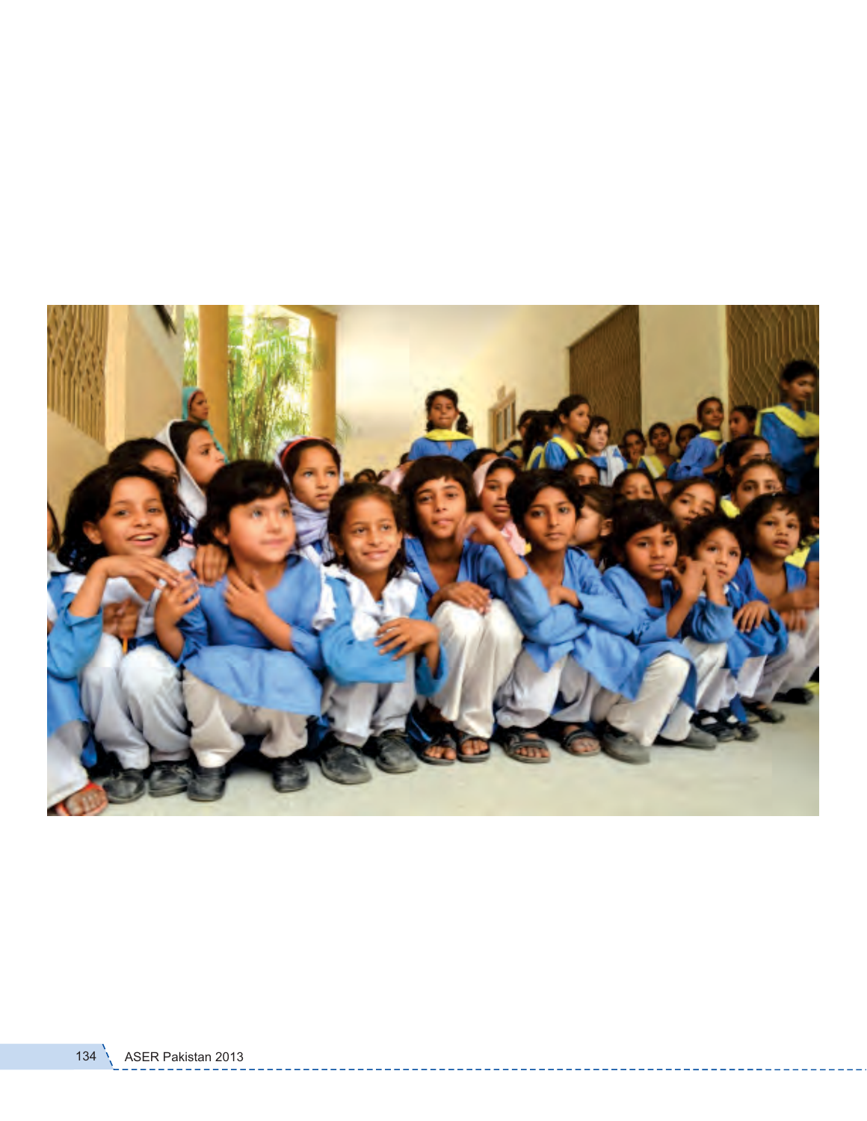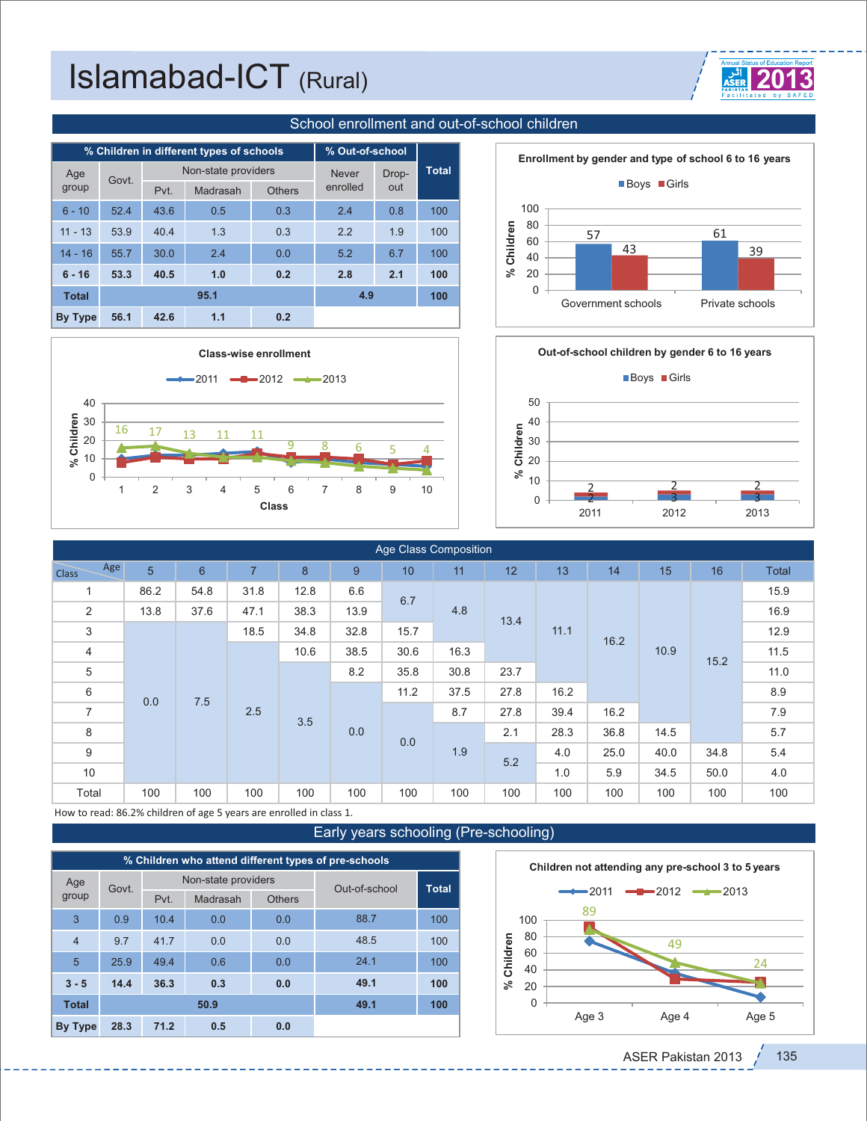

|              | % Children in different types of schools |      | % Out-of-school     |               |              |       |              |
|--------------|------------------------------------------|------|---------------------|---------------|--------------|-------|--------------|
| Age          | Govt.                                    |      | Non-state providers |               | <b>Never</b> | Drop- | <b>Total</b> |
| group        |                                          | Pvt. | Madrasah            | <b>Others</b> | enrolled     | out   |              |
| $6 - 10$     | 52.4                                     | 43.6 | 0.5                 | 0.3           | 2.4          | 0.8   | 100          |
| $11 - 13$    | 53.9                                     | 40.4 | 1.3                 | 0.3           | 2.2          | 1.9   | 100          |
| $14 - 16$    | 55.7                                     | 30.0 | 2.4                 | 0.0           | 5.2          | 6.7   | 100          |
| $6 - 16$     | 53.3                                     | 40.5 | 1.0                 | 0.2           | 2.8          | 2.1   | 100          |
| <b>Total</b> |                                          |      | 95.1                | 4.9           | 100          |       |              |
| By Type      | 56.1                                     | 42.6 | 1.1                 |               |              |       |              |









| Age Class Composition |      |      |                |      |                |      |      |      |      |      |      |      |              |      |      |  |      |      |      |      |  |  |  |      |      |      |
|-----------------------|------|------|----------------|------|----------------|------|------|------|------|------|------|------|--------------|------|------|--|------|------|------|------|--|--|--|------|------|------|
| Age<br><b>Class</b>   | 5    | 6    | $\overline{7}$ | 8    | 9 <sup>°</sup> | 10   | 11   | 12   | 13   | 14   | 15   | 16   | <b>Total</b> |      |      |  |      |      |      |      |  |  |  |      |      |      |
| 1                     | 86.2 | 54.8 | 31.8           | 12.8 | 6.6            | 6.7  |      |      |      |      |      |      | 15.9         |      |      |  |      |      |      |      |  |  |  |      |      |      |
| 2                     | 13.8 | 37.6 | 47.1           | 38.3 | 13.9           |      | 4.8  | 13.4 |      |      |      |      | 16.9         |      |      |  |      |      |      |      |  |  |  |      |      |      |
| 3                     |      |      |                | 18.5 | 34.8           | 32.8 | 15.7 |      |      | 11.1 | 16.2 |      |              | 12.9 |      |  |      |      |      |      |  |  |  |      |      |      |
| $\overline{4}$        |      |      |                |      |                |      |      |      |      |      |      |      |              |      |      |  | 10.6 | 38.5 | 30.6 | 16.3 |  |  |  | 10.9 | 15.2 | 11.5 |
| 5                     |      |      |                |      |                |      |      |      |      | 8.2  | 35.8 | 30.8 | 23.7         |      |      |  |      | 11.0 |      |      |  |  |  |      |      |      |
| 6                     | 0.0  |      |                |      |                |      |      | 7.5  |      |      |      | 11.2 | 37.5         | 27.8 | 16.2 |  |      |      | 8.9  |      |  |  |  |      |      |      |
| $\overline{7}$        |      |      | 2.5            | 3.5  |                |      | 8.7  | 27.8 | 39.4 | 16.2 |      |      | 7.9          |      |      |  |      |      |      |      |  |  |  |      |      |      |
| 8                     |      |      |                |      | 0.0            | 0.0  |      | 2.1  | 28.3 | 36.8 | 14.5 |      | 5.7          |      |      |  |      |      |      |      |  |  |  |      |      |      |
| 9                     |      |      |                |      |                |      | 1.9  | 5.2  | 4.0  | 25.0 | 40.0 | 34.8 | 5.4          |      |      |  |      |      |      |      |  |  |  |      |      |      |
| 10                    |      |      |                |      |                |      |      |      | 1.0  | 5.9  | 34.5 | 50.0 | 4.0          |      |      |  |      |      |      |      |  |  |  |      |      |      |
| Total                 | 100  | 100  | 100            | 100  | 100            | 100  | 100  | 100  | 100  | 100  | 100  | 100  | 100          |      |      |  |      |      |      |      |  |  |  |      |      |      |
| $\blacksquare$        |      |      |                |      |                |      |      |      |      |      |      |      |              |      |      |  |      |      |      |      |  |  |  |      |      |      |

How to read: 86.2% children of age 5 years are enrolled in class 1.

Early years schooling (Pre-schooling)

| % Children who attend different types of pre-schools |       |      |                     |               |               |              |  |  |  |  |  |  |
|------------------------------------------------------|-------|------|---------------------|---------------|---------------|--------------|--|--|--|--|--|--|
| Age<br>group                                         | Govt. |      | Non-state providers |               | Out-of-school | <b>Total</b> |  |  |  |  |  |  |
|                                                      |       | Pvt. | Madrasah            | <b>Others</b> |               |              |  |  |  |  |  |  |
| 3                                                    | 0.9   | 10.4 | 0.0                 | 0.0           | 88.7          | 100          |  |  |  |  |  |  |
| $\overline{4}$                                       | 9.7   | 41.7 | 0.0                 | 0.0           | 48.5          | 100          |  |  |  |  |  |  |
| 5                                                    | 25.9  | 49.4 | 0.6                 | 0.0           | 24.1          | 100          |  |  |  |  |  |  |
| $3 - 5$                                              | 14.4  | 36.3 | 0.3                 | 0.0           | 49.1          | 100          |  |  |  |  |  |  |
| <b>Total</b>                                         |       |      | 50.9                | 49.1          | 100           |              |  |  |  |  |  |  |
| By Type                                              | 28.3  | 71.2 | 0.5                 | 0.0           |               |              |  |  |  |  |  |  |

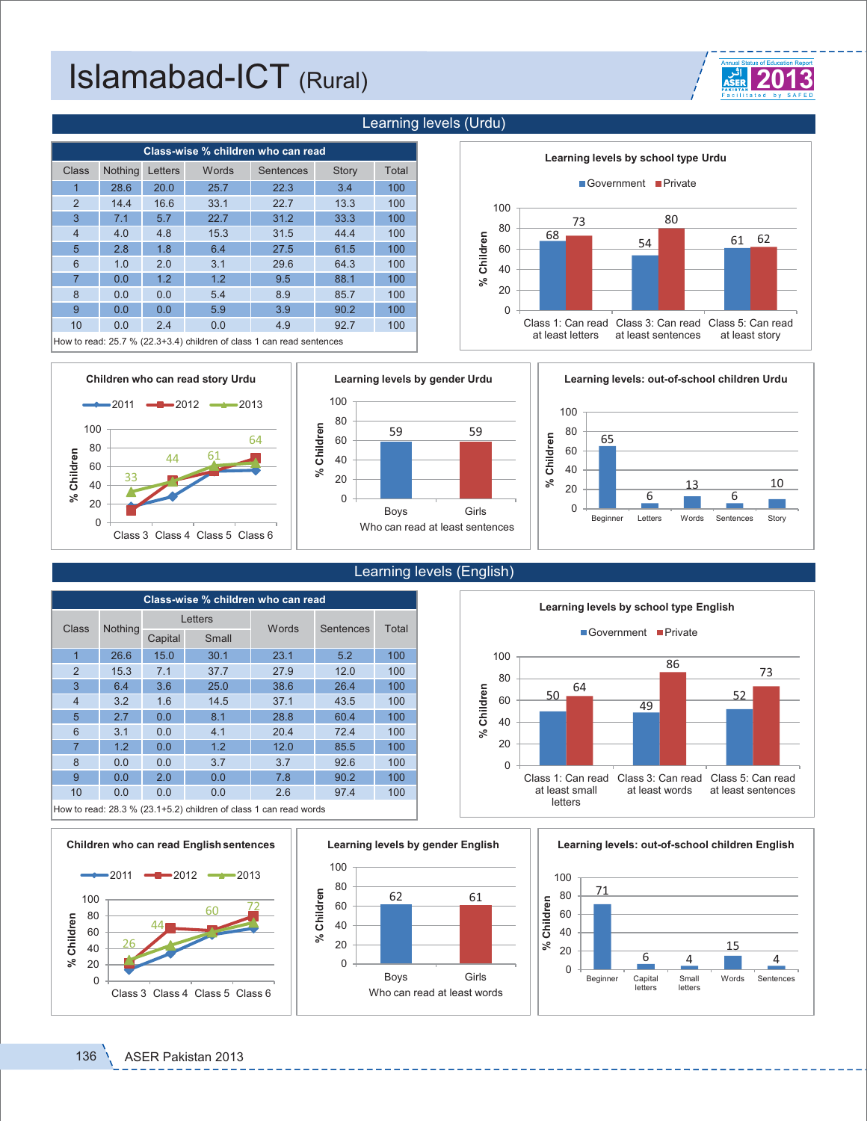

How to read: 25.7 % (22.3+3.4) children of class 1 can read sentences





Class 1: Can read at least letters Class 3: Can read at least sentences Class 5: Can read at least story

**68** 54 61

73 80

**Learning levels by school type Urdu** Government Private



|                | Class-wise % children who can read |         |                                                                   |       |           |       |  |  |  |  |  |  |
|----------------|------------------------------------|---------|-------------------------------------------------------------------|-------|-----------|-------|--|--|--|--|--|--|
| Class          | <b>Nothing</b>                     |         | Letters                                                           | Words | Sentences | Total |  |  |  |  |  |  |
|                |                                    | Capital | Small                                                             |       |           |       |  |  |  |  |  |  |
| 1              | 26.6                               | 15.0    | 30.1                                                              | 23.1  | 5.2       | 100   |  |  |  |  |  |  |
| $\overline{2}$ | 15.3                               | 7.1     | 37.7                                                              | 27.9  | 12.0      | 100   |  |  |  |  |  |  |
| 3              | 6.4                                | 3.6     | 25.0                                                              | 38.6  | 26.4      | 100   |  |  |  |  |  |  |
| $\overline{4}$ | 3.2                                | 1.6     | 14.5                                                              | 37.1  | 43.5      | 100   |  |  |  |  |  |  |
| 5              | 2.7                                | 0.0     | 8.1                                                               | 28.8  | 60.4      | 100   |  |  |  |  |  |  |
| 6              | 3.1                                | 0.0     | 4.1                                                               | 20.4  | 72.4      | 100   |  |  |  |  |  |  |
| $\overline{7}$ | 1.2                                | 0.0     | 1.2                                                               | 12.0  | 85.5      | 100   |  |  |  |  |  |  |
| 8              | 0.0                                | 0.0     | 3.7                                                               | 3.7   | 92.6      | 100   |  |  |  |  |  |  |
| 9              | 0.0                                | 2.0     | 0.0                                                               | 7.8   | 90.2      | 100   |  |  |  |  |  |  |
| 10             | 0.0                                | 0.0     | 0.0                                                               | 2.6   | 97.4      | 100   |  |  |  |  |  |  |
|                |                                    |         | How to read: 28.3 % (23.1+5.2) children of class 1 can read words |       |           |       |  |  |  |  |  |  |

60  $^{72}$ 



Learning levels (English)



#### **Learning levels: out-of-school children English**



 $-2011$   $-2012$   $-2013$ 100



**Learning levels by gender English**



**Children who can read English sentences**

80 100

**% Children**





62

#### Learning levels (Urdu)

**% Children**

# 136 \ ASER Pakistan 2013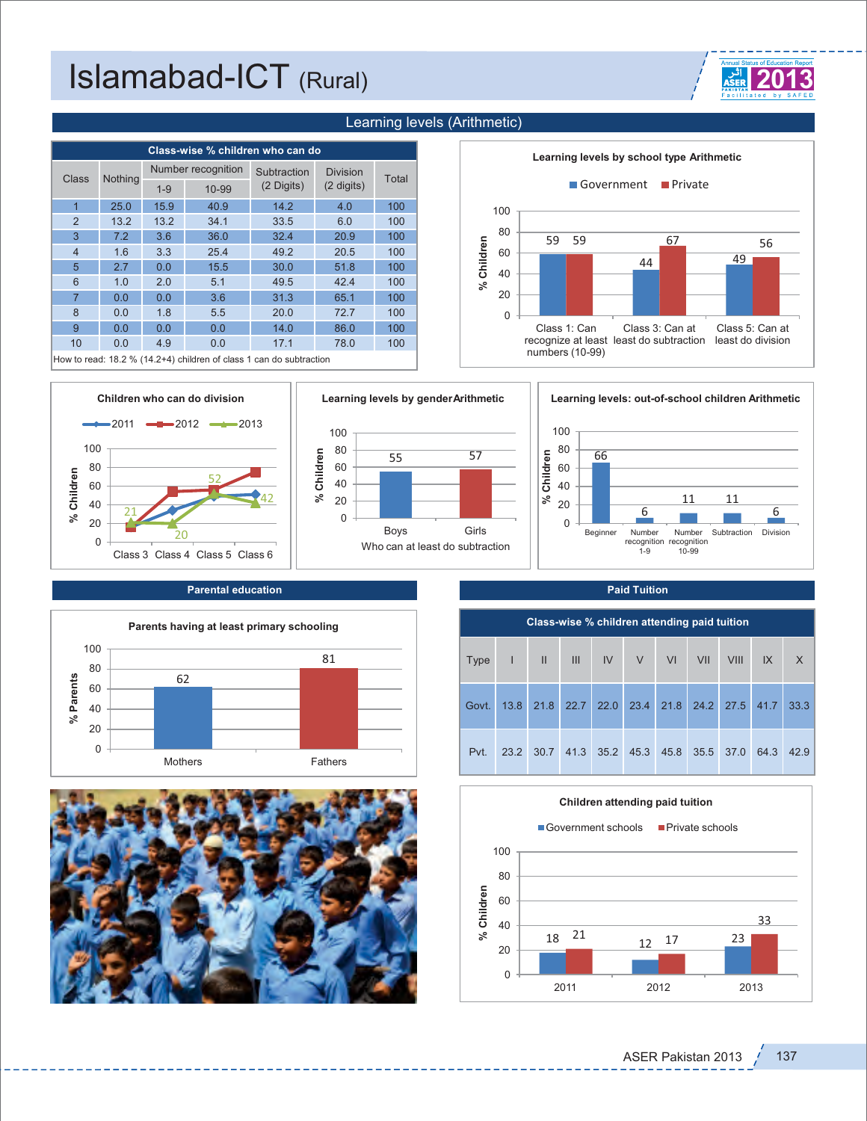





Learning levels (Arithmetic)







#### **Parental education Paid Tuition**





|       | Class-wise % children attending paid tuition |              |                |                                         |  |  |  |                                              |      |      |  |  |
|-------|----------------------------------------------|--------------|----------------|-----------------------------------------|--|--|--|----------------------------------------------|------|------|--|--|
| Type  | $\mathbf{I}$                                 | $\mathbf{H}$ | $\blacksquare$ |                                         |  |  |  | IV V VI VII VIII IX X                        |      |      |  |  |
| Govt. |                                              |              |                |                                         |  |  |  | 13.8 21.8 22.7 22.0 23.4 21.8 24.2 27.5 41.7 |      | 33.3 |  |  |
| Pvt.  |                                              |              |                | 23.2 30.7 41.3 35.2 45.3 45.8 35.5 37.0 |  |  |  |                                              | 64.3 | 42.9 |  |  |

#### **Children attending paid tuition**

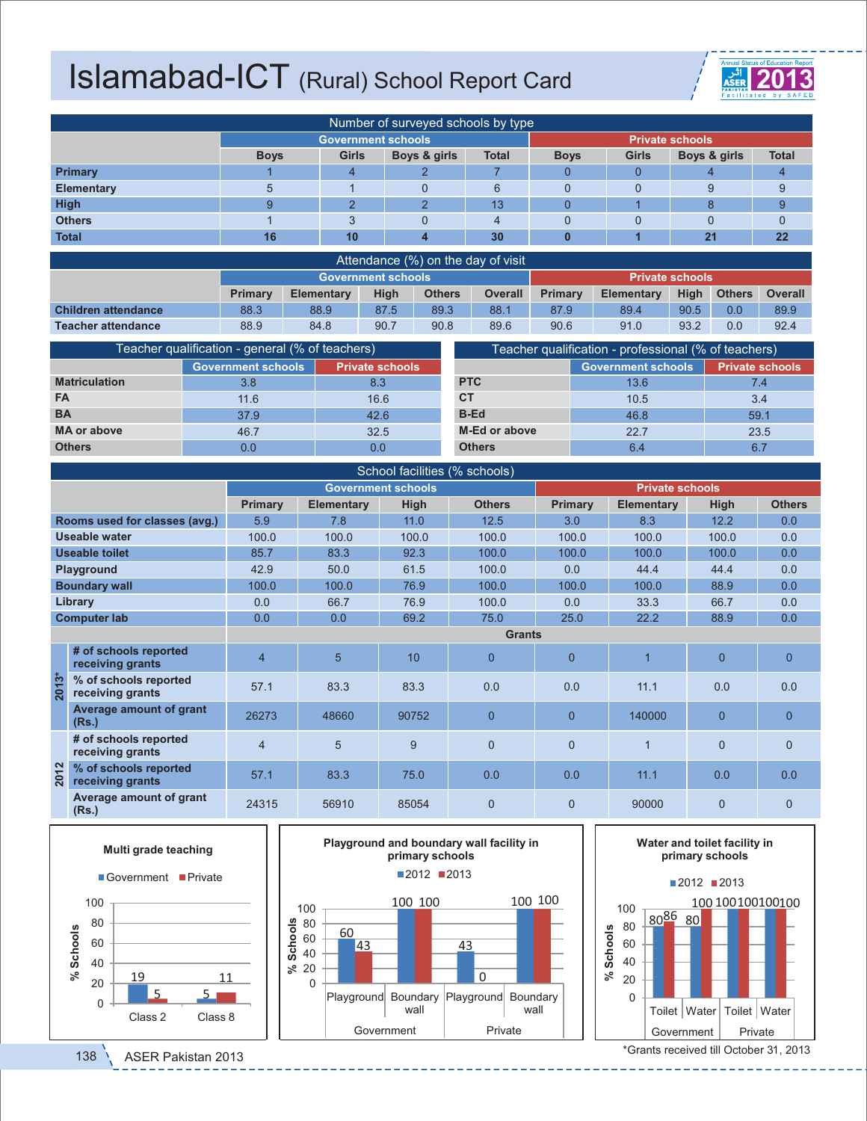# **Islamabad-ICT** (Rural) School Report Card **2013**



| Number of surveyed schools by type |                    |                 |              |              |                        |              |              |              |  |  |
|------------------------------------|--------------------|-----------------|--------------|--------------|------------------------|--------------|--------------|--------------|--|--|
|                                    | Government schools |                 |              |              | <b>Private schools</b> |              |              |              |  |  |
|                                    | <b>Boys</b>        | <b>Girls</b>    | Boys & girls | <b>Total</b> | <b>Boys</b>            | <b>Girls</b> | Boys & girls | <b>Total</b> |  |  |
| <b>Primary</b>                     |                    | 4               |              |              |                        |              |              |              |  |  |
| <b>Elementary</b>                  |                    |                 | 0            | 6            |                        |              |              |              |  |  |
| <b>High</b>                        |                    | ာ<br>$\epsilon$ | 2            | 13           | $\overline{0}$         |              | 8            | 9            |  |  |
| <b>Others</b>                      |                    | C.              | 0            | 4            |                        |              |              |              |  |  |
| <b>Total</b>                       | 16                 | 10              | 4            | 30           | $\bf{0}$               |              | 21           | 22           |  |  |

| Attendance (%) on the day of visit |                |                   |                    |               |                |                                |                   |             |               |                |
|------------------------------------|----------------|-------------------|--------------------|---------------|----------------|--------------------------------|-------------------|-------------|---------------|----------------|
|                                    |                |                   | Government schools |               |                | l Private schools <sup>l</sup> |                   |             |               |                |
|                                    | <b>Primary</b> | <b>Elementary</b> | <b>High</b>        | <b>Others</b> | <b>Overall</b> | <b>Primary</b>                 | <b>Elementary</b> | <b>High</b> | <b>Others</b> | <b>Overall</b> |
| <b>Children attendance</b>         | 88.3           | 88.9              | 87.5               | 89.3          | 88.1           | 87.9                           | 89.4              | 90.5        | 0.0           | 89.9           |
| Teacher attendance                 | 88.9           | 84.8              | 90.7               | 90.8          | 89.6           | 90.6                           | 91.0              | 93.2        | 0.0           | 92.4           |

|                           | Teacher qualification - general (% of teachers) |                        | Teacher qualification - professional $(\%$ of teachers) |                           |                        |  |  |
|---------------------------|-------------------------------------------------|------------------------|---------------------------------------------------------|---------------------------|------------------------|--|--|
| <b>Government schools</b> |                                                 | <b>Private schools</b> |                                                         | <b>Government schools</b> | <b>Private schools</b> |  |  |
| <b>Matriculation</b>      | 3.8                                             | 8.3                    | <b>PTC</b>                                              | 13.6                      | 7.4                    |  |  |
| FA                        | 11.6                                            | 16.6                   | <b>CT</b>                                               | 10.5                      | 3.4                    |  |  |
| <b>BA</b>                 | 37.9                                            | 42.6                   | <b>B-Ed</b>                                             | 46.8                      | 59.1                   |  |  |
| MA or above               | 46.7                                            | 32.5                   | M-Ed or above                                           | 22.7                      | 23.5                   |  |  |
| <b>Others</b>             | 0.0                                             | 0.0                    | <b>Others</b>                                           | 6.4                       |                        |  |  |

|                     | School facilities (% schools)             |                |            |                           |                |                |                        |                |                |  |  |  |
|---------------------|-------------------------------------------|----------------|------------|---------------------------|----------------|----------------|------------------------|----------------|----------------|--|--|--|
|                     |                                           |                |            | <b>Government schools</b> |                |                | <b>Private schools</b> |                |                |  |  |  |
|                     |                                           | <b>Primary</b> | Elementary | High                      | <b>Others</b>  | Primary        | <b>Elementary</b>      | High           | <b>Others</b>  |  |  |  |
|                     | Rooms used for classes (avg.)             | 5.9            | 7.8        | 11.0                      | 12.5           | 3.0            | 8.3                    | 12.2           | 0.0            |  |  |  |
|                     | Useable water                             | 100.0          | 100.0      | 100.0                     | 100.0          | 100.0          | 100.0                  | 100.0          | 0.0            |  |  |  |
|                     | <b>Useable toilet</b>                     | 85.7           | 83.3       | 92.3                      | 100.0          | 100.0          | 100.0                  | 100.0          | 0.0            |  |  |  |
|                     | Playground                                | 42.9           | 50.0       | 61.5                      | 100.0          | 0.0            | 44.4                   | 44.4           | 0.0            |  |  |  |
|                     | <b>Boundary wall</b>                      | 100.0          | 100.0      | 76.9                      | 100.0          | 100.0          | 100.0                  | 88.9           | 0.0            |  |  |  |
|                     | Library                                   | 0.0            | 66.7       | 76.9                      | 100.0          | 0.0            | 33.3                   | 66.7           | 0.0            |  |  |  |
| <b>Computer lab</b> |                                           | 0.0            | 0.0        | 69.2                      | 75.0           | 25.0           | 22.2                   | 88.9           | 0.0            |  |  |  |
|                     |                                           | <b>Grants</b>  |            |                           |                |                |                        |                |                |  |  |  |
|                     | # of schools reported<br>receiving grants | $\overline{4}$ | 5          | 10                        | $\Omega$       | $\Omega$       |                        | $\overline{0}$ | $\Omega$       |  |  |  |
| $2013*$             | % of schools reported<br>receiving grants | 57.1           | 83.3       | 83.3                      | 0.0            | 0.0            | 11.1                   | 0.0            | 0.0            |  |  |  |
|                     | Average amount of grant<br>(Rs.)          | 26273          | 48660      | 90752                     | $\overline{0}$ | $\overline{0}$ | 140000                 | $\overline{0}$ | $\Omega$       |  |  |  |
|                     | # of schools reported<br>receiving grants | $\overline{4}$ | 5          | 9                         | $\Omega$       | $\overline{0}$ |                        | $\overline{0}$ | $\Omega$       |  |  |  |
| 2012                | % of schools reported<br>receiving grants | 57.1           | 83.3       | 75.0                      | 0.0            | 0.0            | 11.1                   | 0.0            | 0.0            |  |  |  |
|                     | Average amount of grant<br>(Rs.)          | 24315          | 56910      | 85054                     | $\Omega$       | $\overline{0}$ | 90000                  | $\Omega$       | $\overline{0}$ |  |  |  |





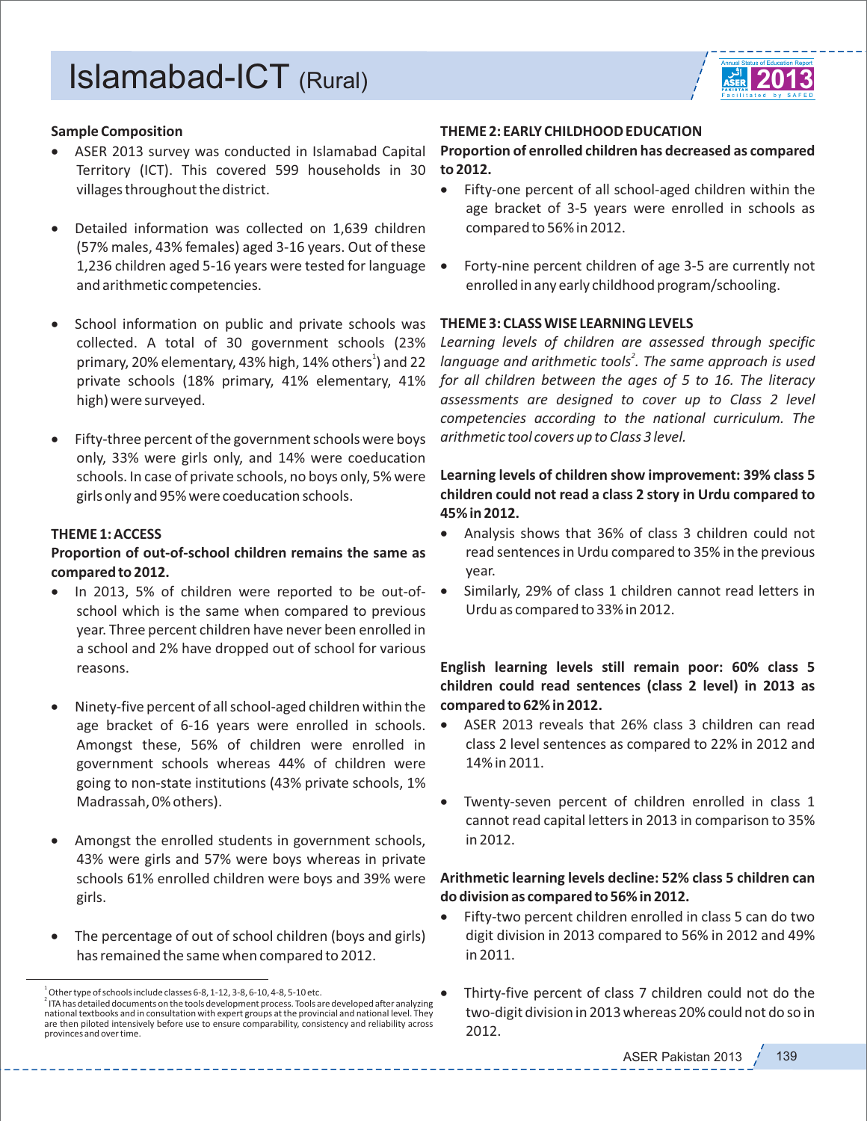

#### **Sample Composition**

- ASER 2013 survey was conducted in Islamabad Capital Territory (ICT). This covered 599 households in 30 villages throughout the district.
- Detailed information was collected on 1,639 children (57% males, 43% females) aged 3‐16 years. Out of these 1,236 children aged 5‐16 years were tested for language and arithmetic competencies.
- School information on public and private schools was collected. A total of 30 government schools (23% primary, 20% elementary, 43% high, 14% others $^{\rm l}$ ) and 22 private schools (18% primary, 41% elementary, 41% high) were surveyed.
- Fifty-three percent of the government schools were boys only, 33% were girls only, and 14% were coeducation schools. In case of private schools, no boys only, 5% were girls only and 95% were coeducation schools.

#### **THEME 1: ACCESS**

### **Proportion of out‐of‐school children remains the same as compared to 2012.**

- In 2013, 5% of children were reported to be out‐of‐ school which is the same when compared to previous year. Three percent children have never been enrolled in a school and 2% have dropped out of school for various reasons.
- Ninety‐five percent of all school‐aged children within the age bracket of 6‐16 years were enrolled in schools. Amongst these, 56% of children were enrolled in government schools whereas 44% of children were going to non‐state institutions (43% private schools, 1% Madrassah, 0% others).
- Amongst the enrolled students in government schools, 43% were girls and 57% were boys whereas in private schools 61% enrolled children were boys and 39% were girls.
- The percentage of out of school children (boys and girls) has remained the same when compared to 2012.

#### **THEME 2: EARLY CHILDHOOD EDUCATION**

**Proportion of enrolled children has decreased as compared to 2012.**

- Fifty-one percent of all school-aged children within the age bracket of 3‐5 years were enrolled in schools as compared to 56% in 2012.
- Forty‐nine percent children of age 3‐5 are currently not enrolled in any early childhood program/schooling.

#### **THEME 3: CLASS WISE LEARNING LEVELS**

*Learning levels of children are assessed through specific*  language and arithmetic tools<sup>2</sup>. The same approach is used *for all children between the ages of 5 to 16. The literacy assessments are designed to cover up to Class 2 level competencies according to the national curriculum. The arithmetic tool covers up to Class 3 level.*

# **Learning levels of children show improvement: 39% class 5 children could not read a class 2 story in Urdu compared to 45% in 2012.**

- Analysis shows that 36% of class 3 children could not read sentences in Urdu compared to 35% in the previous year.
- Similarly, 29% of class 1 children cannot read letters in Urdu as compared to 33% in 2012.

# **English learning levels still remain poor: 60% class 5 children could read sentences (class 2 level) in 2013 as compared to 62% in 2012.**

- ASER 2013 reveals that 26% class 3 children can read class 2 level sentences as compared to 22% in 2012 and 14% in 2011.
- Twenty‐seven percent of children enrolled in class 1 cannot read capital letters in 2013 in comparison to 35% in 2012.

#### **Arithmetic learning levels decline: 52% class 5 children can do division as compared to 56% in 2012.**

- Fifty‐two percent children enrolled in class 5 can do two digit division in 2013 compared to 56% in 2012 and 49% in 2011.
- Thirty‐five percent of class 7 children could not do the two‐digit division in 2013 whereas 20% could not do so in 2012.

 $\frac{1}{2}$  Other type of schools include classes 6-8, 1-12, 3-8, 6-10, 4-8, 5-10 etc.  $^{2}$  ITA has detailed documents on the tools development process. Tools are developed after analyzing national textbooks and in consultation with expert groups at the provincial and national level. They are then piloted intensively before use to ensure comparability, consistency and reliability across provinces and over time.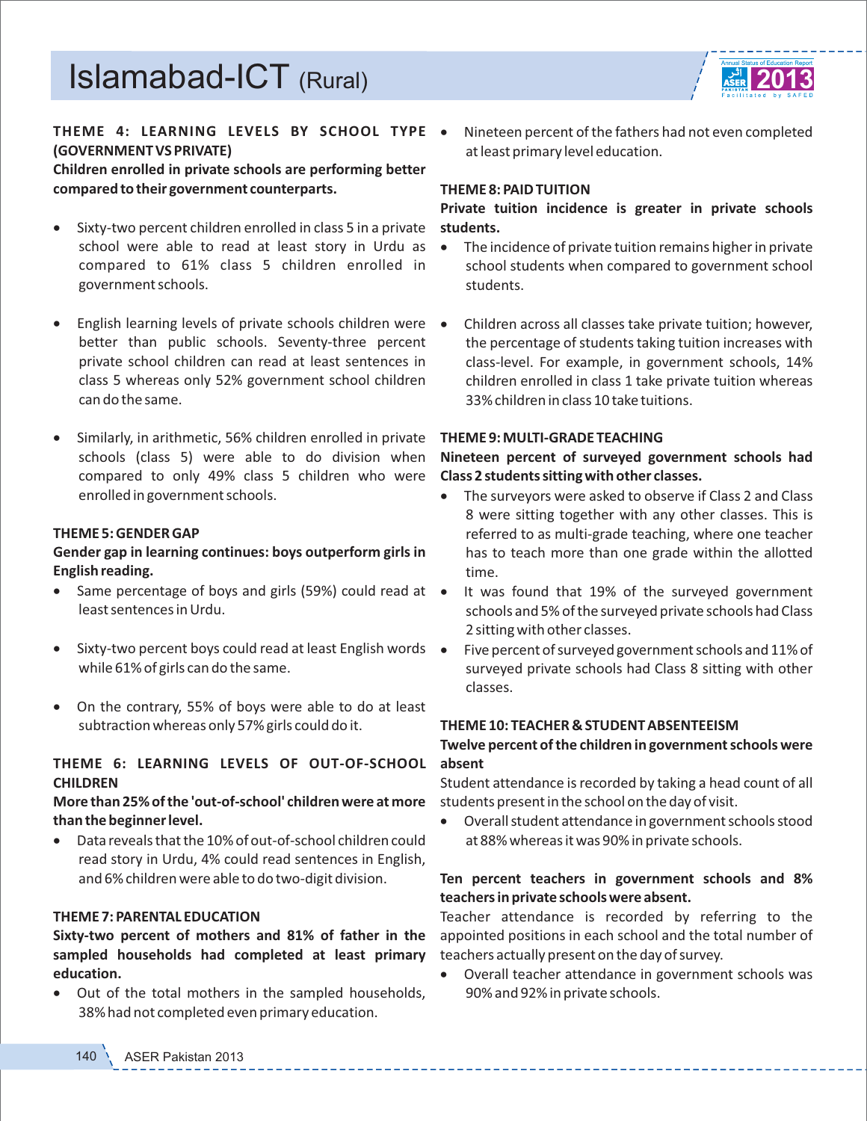

# **THEME 4: LEARNING LEVELS BY SCHOOL TYPE (GOVERNMENT VS PRIVATE)**

**Children enrolled in private schools are performing better compared to their government counterparts.** 

- Sixty‐two percent children enrolled in class 5 in a private school were able to read at least story in Urdu as compared to 61% class 5 children enrolled in government schools.
- English learning levels of private schools children were better than public schools. Seventy-three percent private school children can read at least sentences in class 5 whereas only 52% government school children can do the same.
- Similarly, in arithmetic, 56% children enrolled in private schools (class 5) were able to do division when compared to only 49% class 5 children who were enrolled in government schools.

#### **THEME 5: GENDER GAP**

# **Gender gap in learning continues: boys outperform girls in English reading.**

- Same percentage of boys and girls (59%) could read at  $\bullet$ least sentences in Urdu.
- Sixty-two percent boys could read at least English words while 61% of girls can do the same.
- On the contrary, 55% of boys were able to do at least subtraction whereas only 57% girls could do it.

#### **THEME 6: LEARNING LEVELS OF OUT‐OF‐SCHOOL CHILDREN**

# **More than 25% of the 'out‐of‐school' children were at more than the beginner level.**

 Data reveals that the 10% of out‐of‐school children could read story in Urdu, 4% could read sentences in English, and 6% children were able to do two-digit division.

#### **THEME 7: PARENTAL EDUCATION**

**Sixty‐two percent of mothers and 81% of father in the sampled households had completed at least primary education.**

 Out of the total mothers in the sampled households, 38% had not completed even primary education.

 Nineteen percent of the fathers had not even completed at least primary level education.

#### **THEME 8: PAID TUITION**

### **Private tuition incidence is greater in private schools students.**

- The incidence of private tuition remains higher in private school students when compared to government school students.
- Children across all classes take private tuition; however, the percentage of students taking tuition increases with class‐level. For example, in government schools, 14% children enrolled in class 1 take private tuition whereas 33% children in class 10 take tuitions.

#### **THEME 9: MULTI‐GRADE TEACHING**

### **Nineteen percent of surveyed government schools had Class 2 students sitting with other classes.**

- The surveyors were asked to observe if Class 2 and Class 8 were sitting together with any other classes. This is referred to as multi‐grade teaching, where one teacher has to teach more than one grade within the allotted time.
- It was found that 19% of the surveyed government schools and 5% of the surveyed private schools had Class 2 sitting with other classes.
- Five percent of surveyed government schools and 11% of surveyed private schools had Class 8 sitting with other classes.

# **THEME 10: TEACHER & STUDENT ABSENTEEISM**

### **Twelve percent of the children in government schools were absent**

Student attendance is recorded by taking a head count of all students present in the school on the day of visit.

 Overall student attendance in government schools stood at 88% whereas it was 90% in private schools.

# **Ten percent teachers in government schools and 8% teachers in private schools were absent.**

Teacher attendance is recorded by referring to the appointed positions in each school and the total number of teachers actually present on the day of survey.

 Overall teacher attendance in government schools was 90% and 92% in private schools.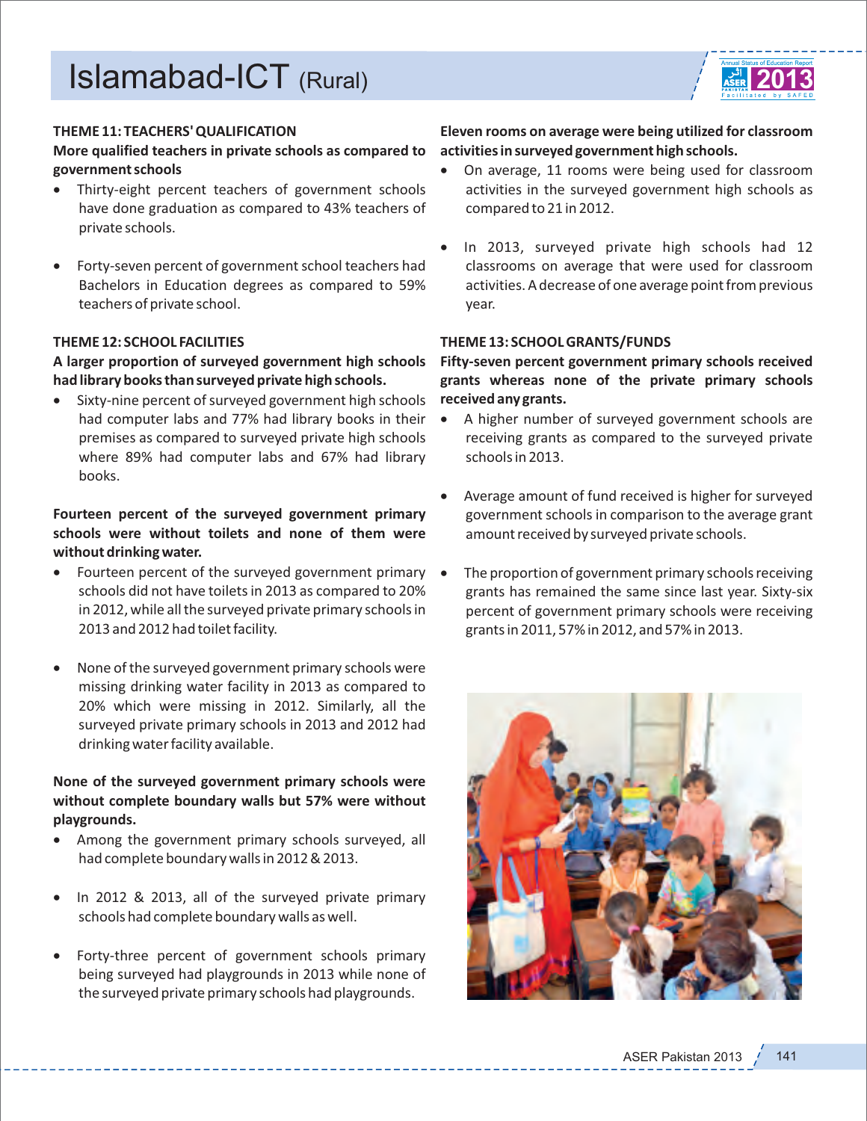

#### **THEME 11: TEACHERS' QUALIFICATION**

#### **More qualified teachers in private schools as compared to government schools**

- Thirty‐eight percent teachers of government schools have done graduation as compared to 43% teachers of private schools.
- Forty‐seven percent of government school teachers had Bachelors in Education degrees as compared to 59% teachers of private school.

#### **THEME 12: SCHOOL FACILITIES**

# **A larger proportion of surveyed government high schools had library books than surveyed private high schools.**

● Sixty-nine percent of surveyed government high schools had computer labs and 77% had library books in their premises as compared to surveyed private high schools where 89% had computer labs and 67% had library books.

# **Fourteen percent of the surveyed government primary schools were without toilets and none of them were without drinking water.**

- Fourteen percent of the surveyed government primary schools did not have toilets in 2013 as compared to 20% in 2012, while all the surveyed private primary schools in 2013 and 2012 had toilet facility.
- None of the surveyed government primary schools were missing drinking water facility in 2013 as compared to 20% which were missing in 2012. Similarly, all the surveyed private primary schools in 2013 and 2012 had drinking water facility available.

# **None of the surveyed government primary schools were without complete boundary walls but 57% were without playgrounds.**

- Among the government primary schools surveyed, all had complete boundary walls in 2012 & 2013.
- In 2012 & 2013, all of the surveyed private primary schools had complete boundary walls as well.
- Forty-three percent of government schools primary being surveyed had playgrounds in 2013 while none of the surveyed private primary schools had playgrounds.

### **Eleven rooms on average were being utilized for classroom activities in surveyed government high schools.**

- On average, 11 rooms were being used for classroom activities in the surveyed government high schools as compared to 21 in 2012.
- In 2013, surveyed private high schools had 12 classrooms on average that were used for classroom activities. A decrease of one average point from previous year.

#### **THEME 13: SCHOOL GRANTS/FUNDS**

**Fifty‐seven percent government primary schools received grants whereas none of the private primary schools received any grants.**

- A higher number of surveyed government schools are receiving grants as compared to the surveyed private schools in 2013.
- Average amount of fund received is higher for surveyed government schools in comparison to the average grant amount received by surveyed private schools.
- The proportion of government primary schools receiving grants has remained the same since last year. Sixty‐six percent of government primary schools were receiving grants in 2011, 57% in 2012, and 57% in 2013.